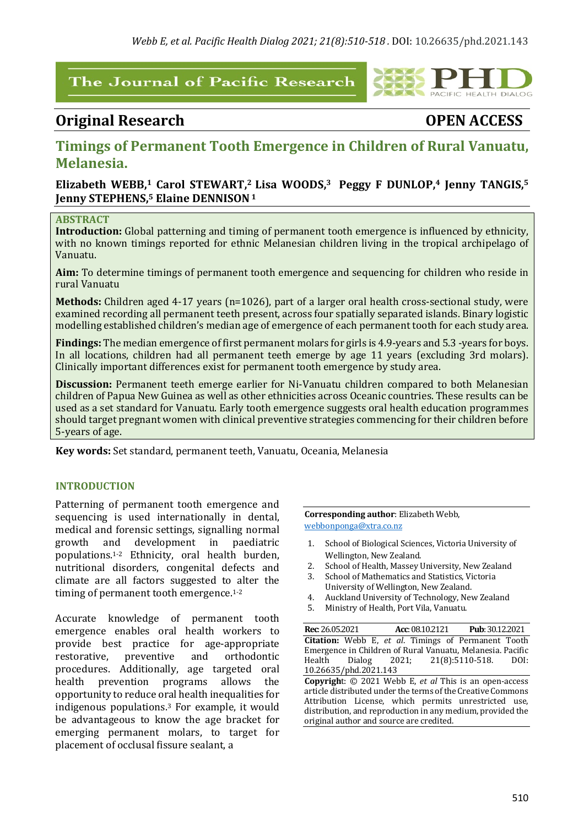# The Journal of Pacific Research

# **Original Research OPEN ACCESS**

PACIFIC HEALTH DIALOG

# **Timings of Permanent Tooth Emergence in Children of Rural Vanuatu, Melanesia.**

## **Elizabeth WEBB,<sup>1</sup> Carol STEWART,<sup>2</sup> Lisa WOODS,<sup>3</sup> Peggy F DUNLOP,<sup>4</sup> Jenny TANGIS,<sup>5</sup> Jenny STEPHENS, <sup>5</sup> Elaine DENNISON1**

#### **ABSTRACT**

**Introduction:** Global patterning and timing of permanent tooth emergence is influenced by ethnicity, with no known timings reported for ethnic Melanesian children living in the tropical archipelago of Vanuatu.

**Aim:** To determine timings of permanent tooth emergence and sequencing for children who reside in rural Vanuatu

**Methods:** Children aged 4-17 years (n=1026), part of a larger oral health cross-sectional study, were examined recording all permanent teeth present, across four spatially separated islands. Binary logistic modelling established children's median age of emergence of each permanent tooth for each study area.

**Findings:** The median emergence of first permanent molars for girls is 4.9-years and 5.3 -years for boys. In all locations, children had all permanent teeth emerge by age 11 years (excluding 3rd molars). Clinically important differences exist for permanent tooth emergence by study area.

**Discussion:** Permanent teeth emerge earlier for Ni-Vanuatu children compared to both Melanesian children of Papua New Guinea as well as other ethnicities across Oceanic countries. These results can be used as a set standard for Vanuatu. Early tooth emergence suggests oral health education programmes should target pregnant women with clinical preventive strategies commencing for their children before 5-years of age.

**Key words:** Set standard, permanent teeth, Vanuatu, Oceania, Melanesia

#### **INTRODUCTION**

Patterning of permanent tooth emergence and sequencing is used internationally in dental, medical and forensic settings, signalling normal growth and development in paediatric populations.<sup>1-2</sup> Ethnicity, oral health burden. nutritional disorders, congenital defects and climate are all factors suggested to alter the timing of permanent tooth emergence.<sup>1-2</sup>

Accurate knowledge of permanent tooth emergence enables oral health workers to provide best practice for age-appropriate restorative, preventive and orthodontic procedures. Additionally, age targeted oral health prevention programs allows the opportunity to reduce oral health inequalities for indigenous populations.<sup>3</sup> For example, it would be advantageous to know the age bracket for emerging permanent molars, to target for placement of occlusal fissure sealant, a

**Corresponding author:** Elizabeth Webb, webbonponga@xtra.co.nz

- 1. School of Biological Sciences, Victoria University of Wellington, New Zealand.
- 2. School of Health, Massey University, New Zealand
- 3. School of Mathematics and Statistics, Victoria University of Wellington, New Zealand.
- 4. Auckland University of Technology, New Zealand
- 5. Ministry of Health, Port Vila, Vanuatu.

**Rec**: 26.05.2021  **Acc**:08.10.2121 **Pub**: 30.12.2021 **Citation:** Webb E, et al. Timings of Permanent Tooth Emergence in Children of Rural Vanuatu, Melanesia. Pacific Health Dialog 2021; 21(8):5110-518. DOI: 10.26635/phd.2021.143

**Copyright:** © 2021 Webb E, *et al* This is an open-access article distributed under the terms of the Creative Commons Attribution License, which permits unrestricted use, distribution, and reproduction in any medium, provided the original author and source are credited.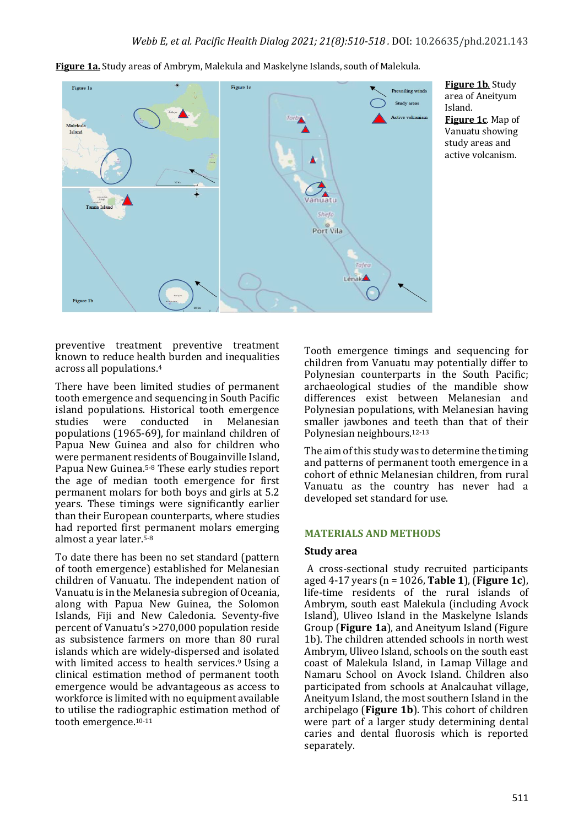

**Figure 1a.** Study areas of Ambrym, Malekula and Maskelyne Islands, south of Malekula.

**Figure 1b.** Study area of Aneityum Island. **Figure 1c.** Map of Vanuatu showing study areas and active volcanism.

preventive treatment preventive treatment known to reduce health burden and inequalities across all populations.<sup>4</sup>

There have been limited studies of permanent tooth emergence and sequencing in South Pacific island populations. Historical tooth emergence studies were conducted in Melanesian populations  $(1965-69)$ , for mainland children of Papua New Guinea and also for children who were permanent residents of Bougainville Island, Papua New Guinea.<sup>5-8</sup> These early studies report the age of median tooth emergence for first permanent molars for both boys and girls at 5.2 years. These timings were significantly earlier than their European counterparts, where studies had reported first permanent molars emerging almost a year later.<sup>5-8</sup>

To date there has been no set standard (pattern of tooth emergence) established for Melanesian children of Vanuatu. The independent nation of Vanuatu is in the Melanesia subregion of Oceania, along with Papua New Guinea, the Solomon Islands, Fiji and New Caledonia. Seventy-five percent of Vanuatu's >270,000 population reside as subsistence farmers on more than 80 rural islands which are widely-dispersed and isolated with limited access to health services.<sup>9</sup> Using a clinical estimation method of permanent tooth emergence would be advantageous as access to workforce is limited with no equipment available to utilise the radiographic estimation method of tooth emergence.<sup>10-11</sup>

Tooth emergence timings and sequencing for children from Vanuatu may potentially differ to Polynesian counterparts in the South Pacific; archaeological studies of the mandible show differences exist between Melanesian and Polynesian populations, with Melanesian having smaller jawbones and teeth than that of their Polynesian neighbours.<sup>12-13</sup>

The aim of this study was to determine the timing and patterns of permanent tooth emergence in a cohort of ethnic Melanesian children, from rural Vanuatu as the country has never had a developed set standard for use.

#### **MATERIALS AND METHODS**

#### **Study area**

A cross-sectional study recruited participants aged  $4-17$  years  $(n = 1026, Table 1)$ ,  $(Figure 1c)$ , life-time residents of the rural islands of Ambrym, south east Malekula (including Avock Island), Uliveo Island in the Maskelyne Islands Group (**Figure 1a**), and Aneityum Island (Figure 1b). The children attended schools in north west Ambrym, Uliveo Island, schools on the south east coast of Malekula Island, in Lamap Village and Namaru School on Avock Island. Children also participated from schools at Analcauhat village, Aneityum Island, the most southern Island in the archipelago (**Figure 1b**). This cohort of children were part of a larger study determining dental caries and dental fluorosis which is reported separately.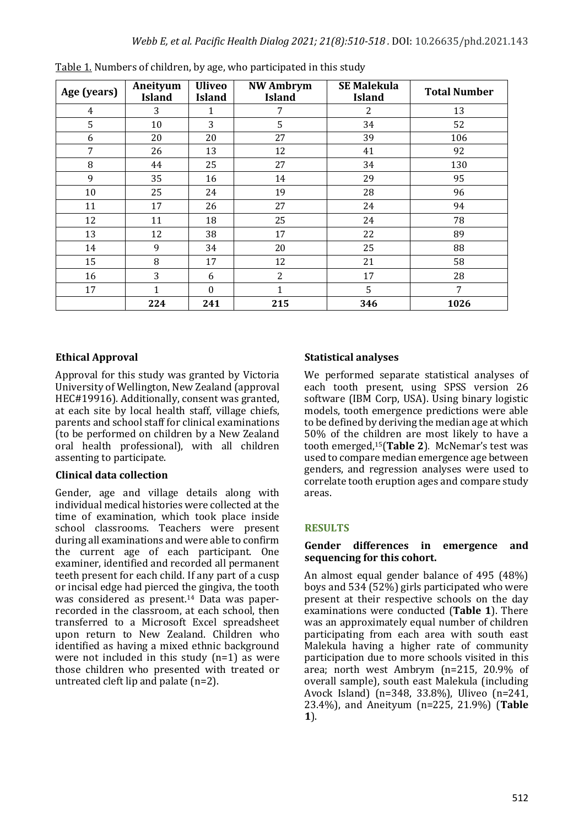| Age (years) | Aneityum<br><b>Island</b> | <b>Uliveo</b><br><b>Island</b> | <b>NW Ambrym</b><br><b>Island</b> | <b>SE Malekula</b><br><b>Island</b> | <b>Total Number</b> |  |
|-------------|---------------------------|--------------------------------|-----------------------------------|-------------------------------------|---------------------|--|
| 4           | 3                         | 1                              | 7                                 | 2                                   | 13                  |  |
| 5           | 10                        | 3                              | 5                                 | 34                                  | 52                  |  |
| 6           | 20                        | 20                             | 27                                | 39                                  | 106                 |  |
| 7           | 26                        | 13                             | 12                                | 41                                  | 92                  |  |
| 8           | 44                        | 25                             | 27                                | 34                                  | 130                 |  |
| 9           | 35                        | 16                             | 14                                | 29                                  | 95                  |  |
| 10          | 25                        | 24                             | 19                                | 28                                  | 96                  |  |
| 11          | 17                        | 26                             | 27                                | 24                                  | 94                  |  |
| 12          | 11                        | 18                             | 25                                | 24                                  | 78                  |  |
| 13          | 12                        | 38                             | 17                                | 22                                  | 89                  |  |
| 14          | 9                         | 34                             | 20                                | 25                                  | 88                  |  |
| 15          | 8                         | 17                             | 12                                | 21                                  | 58                  |  |
| 16          | 3                         | 6                              | $\overline{2}$                    | 17                                  | 28                  |  |
| 17          | $\mathbf{1}$              | $\boldsymbol{0}$               | 1                                 | 5                                   | 7                   |  |
|             | 224                       | 241                            | 215                               | 346                                 | 1026                |  |

Table 1. Numbers of children, by age, who participated in this study

## **Ethical Approval**

Approval for this study was granted by Victoria University of Wellington, New Zealand (approval HEC#19916). Additionally, consent was granted, at each site by local health staff, village chiefs, parents and school staff for clinical examinations (to be performed on children by a New Zealand oral health professional), with all children assenting to participate.

### **Clinical data collection**

Gender, age and village details along with individual medical histories were collected at the time of examination, which took place inside school classrooms. Teachers were present during all examinations and were able to confirm the current age of each participant. One examiner, identified and recorded all permanent teeth present for each child. If any part of a cusp or incisal edge had pierced the gingiva, the tooth was considered as present.<sup>14</sup> Data was paperrecorded in the classroom, at each school, then transferred to a Microsoft Excel spreadsheet upon return to New Zealand. Children who identified as having a mixed ethnic background were not included in this study  $(n=1)$  as were those children who presented with treated or untreated cleft lip and palate  $(n=2)$ .

## **Statistical analyses**

We performed separate statistical analyses of each tooth present, using SPSS version 26 software (IBM Corp, USA). Using binary logistic models, tooth emergence predictions were able to be defined by deriving the median age at which 50% of the children are most likely to have a tooth emerged,<sup>15</sup>(Table 2). McNemar's test was used to compare median emergence age between genders, and regression analyses were used to correlate tooth eruption ages and compare study areas.

### **RESULTS**

#### Gender differences in emergence and sequencing for this cohort.

An almost equal gender balance of 495 (48%) boys and  $534(52%)$  girls participated who were present at their respective schools on the day examinations were conducted (Table 1). There was an approximately equal number of children participating from each area with south east Malekula having a higher rate of community participation due to more schools visited in this area; north west Ambrym  $(n=215, 20.9\%$  of overall sample), south east Malekula (including Avock Island)  $(n=348, 33.8\%)$ , Uliveo  $(n=241,$ 23.4%), and Aneityum (n=225, 21.9%) (Table **1**).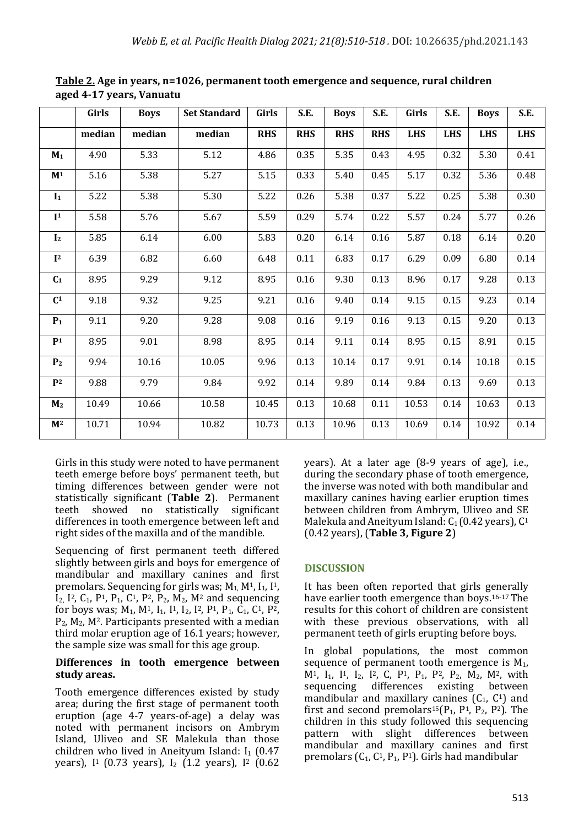|                | Girls  | <b>Boys</b> | <b>Set Standard</b> | Girls      | S.E.       | <b>Boys</b> | S.E.       | Girls      | S.E.       | <b>Boys</b> | S.E.       |
|----------------|--------|-------------|---------------------|------------|------------|-------------|------------|------------|------------|-------------|------------|
|                | median | median      | median              | <b>RHS</b> | <b>RHS</b> | <b>RHS</b>  | <b>RHS</b> | <b>LHS</b> | <b>LHS</b> | <b>LHS</b>  | <b>LHS</b> |
| $M_1$          | 4.90   | 5.33        | 5.12                | 4.86       | 0.35       | 5.35        | 0.43       | 4.95       | 0.32       | 5.30        | 0.41       |
| $\mathbf{M}^1$ | 5.16   | 5.38        | 5.27                | 5.15       | 0.33       | 5.40        | 0.45       | 5.17       | 0.32       | 5.36        | 0.48       |
| I <sub>1</sub> | 5.22   | 5.38        | 5.30                | 5.22       | 0.26       | 5.38        | 0.37       | 5.22       | 0.25       | 5.38        | 0.30       |
| $\mathbf{I}^1$ | 5.58   | 5.76        | 5.67                | 5.59       | 0.29       | 5.74        | 0.22       | 5.57       | 0.24       | 5.77        | 0.26       |
| I <sub>2</sub> | 5.85   | 6.14        | 6.00                | 5.83       | 0.20       | 6.14        | 0.16       | 5.87       | $0.18\,$   | 6.14        | 0.20       |
| $\mathbf{I}^2$ | 6.39   | 6.82        | 6.60                | 6.48       | 0.11       | 6.83        | 0.17       | 6.29       | 0.09       | 6.80        | 0.14       |
| $C_1$          | 8.95   | 9.29        | 9.12                | 8.95       | 0.16       | 9.30        | 0.13       | 8.96       | 0.17       | 9.28        | 0.13       |
| C <sup>1</sup> | 9.18   | 9.32        | 9.25                | 9.21       | 0.16       | 9.40        | 0.14       | 9.15       | 0.15       | 9.23        | 0.14       |
| P <sub>1</sub> | 9.11   | 9.20        | 9.28                | 9.08       | 0.16       | 9.19        | 0.16       | 9.13       | 0.15       | 9.20        | 0.13       |
| P <sup>1</sup> | 8.95   | 9.01        | 8.98                | 8.95       | 0.14       | 9.11        | 0.14       | 8.95       | 0.15       | 8.91        | 0.15       |
| P <sub>2</sub> | 9.94   | 10.16       | 10.05               | 9.96       | 0.13       | 10.14       | 0.17       | 9.91       | 0.14       | 10.18       | 0.15       |
| $P^2$          | 9.88   | 9.79        | 9.84                | 9.92       | 0.14       | 9.89        | 0.14       | 9.84       | 0.13       | 9.69        | 0.13       |
| M <sub>2</sub> | 10.49  | 10.66       | 10.58               | 10.45      | 0.13       | 10.68       | 0.11       | 10.53      | 0.14       | 10.63       | 0.13       |
| $\mathbf{M}^2$ | 10.71  | 10.94       | 10.82               | 10.73      | 0.13       | 10.96       | 0.13       | 10.69      | 0.14       | 10.92       | 0.14       |

**Table 2. Age in years, n=1026, permanent tooth emergence and sequence, rural children aged 4-17 years, Vanuatu**

Girls in this study were noted to have permanent teeth emerge before boys' permanent teeth, but timing differences between gender were not statistically significant (Table 2). Permanent teeth showed no statistically significant differences in tooth emergence between left and right sides of the maxilla and of the mandible.

Sequencing of first permanent teeth differed slightly between girls and boys for emergence of mandibular and maxillary canines and first premolars. Sequencing for girls was;  $M_1$ ,  $M^1$ ,  $I_1$ ,  $I^1$ ,  $I_2$ ,  $I^2$ ,  $C_1$ ,  $P^1$ ,  $P_1$ ,  $C^1$ ,  $P^2$ ,  $P_2$ ,  $M_2$ ,  $M^2$  and sequencing for boys was;  $M_1$ ,  $M^1$ ,  $I_1$ ,  $I_2$ ,  $I^2$ ,  $P^1$ ,  $P_1$ ,  $C_1$ ,  $C^1$ ,  $P^2$ ,  $P_2$ ,  $M_2$ ,  $M^2$ . Participants presented with a median third molar eruption age of 16.1 years; however, the sample size was small for this age group.

#### Differences in tooth emergence between **study areas.**

Tooth emergence differences existed by study area; during the first stage of permanent tooth eruption (age 4-7 years-of-age) a delay was noted with permanent incisors on Ambrym Island, Uliveo and SE Malekula than those children who lived in Aneityum Island:  $I_1$  (0.47 years),  $I<sup>1</sup>$  (0.73 years),  $I<sub>2</sub>$  (1.2 years),  $I<sup>2</sup>$  (0.62

years). At a later age (8-9 years of age), i.e., during the secondary phase of tooth emergence, the inverse was noted with both mandibular and maxillary canines having earlier eruption times between children from Ambrym, Uliveo and SE Malekula and Aneityum Island:  $C_1$  (0.42 years),  $C_1$ (0.42 years), (**Table 3, Figure 2**)

# **DISCUSSION**

It has been often reported that girls generally have earlier tooth emergence than boys.<sup>16-17</sup> The results for this cohort of children are consistent with these previous observations, with all permanent teeth of girls erupting before boys.

In global populations, the most common sequence of permanent tooth emergence is  $M_1$ ,  $M<sup>1</sup>$ ,  $I<sub>1</sub>$ ,  $I<sup>1</sup>$ ,  $I<sub>2</sub>$ ,  $I<sup>2</sup>$ , C,  $P<sup>1</sup>$ ,  $P<sub>1</sub>$ ,  $P<sup>2</sup>$ ,  $P<sub>2</sub>$ ,  $M<sub>2</sub>$ ,  $M<sup>2</sup>$ , with sequencing differences existing between mandibular and maxillary canines  $(C_1, C_1)$  and first and second premolars<sup>15</sup>( $P_1$ ,  $P_1$ ,  $P_2$ ,  $P_2$ ). The children in this study followed this sequencing pattern with slight differences between mandibular and maxillary canines and first premolars  $(C_1, C_1, P_1, P_1)$ . Girls had mandibular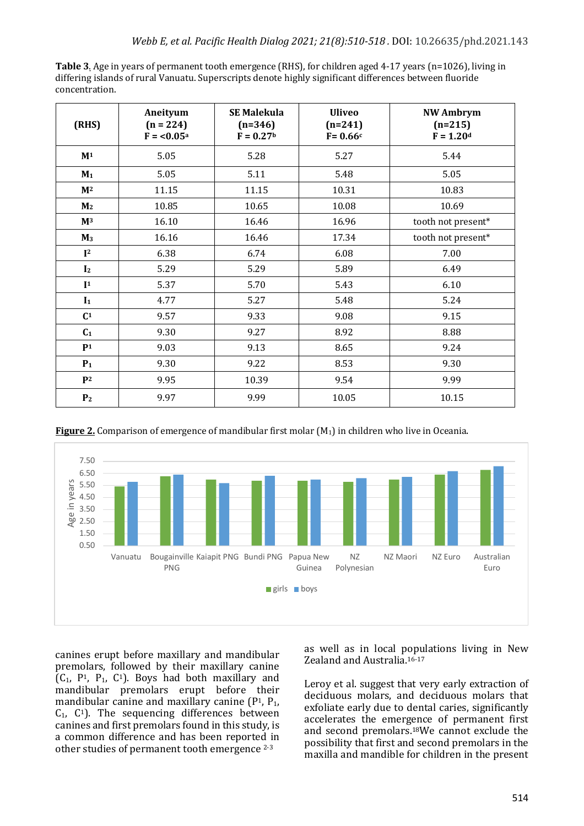| Table 3. Age in years of permanent tooth emergence (RHS), for children aged 4-17 years (n=1026), living in |
|------------------------------------------------------------------------------------------------------------|
| differing islands of rural Vanuatu. Superscripts denote highly significant differences between fluoride    |
| concentration.                                                                                             |

| (RHS)          | Aneityum<br>$(n = 224)$<br>$F = 0.05a$ | <b>SE Malekula</b><br>$(n=346)$<br>$F = 0.27b$ | <b>Uliveo</b><br>$(n=241)$<br>$F = 0.66c$ | <b>NW Ambrym</b><br>$(n=215)$<br>$F = 1.20d$ |  |  |  |  |
|----------------|----------------------------------------|------------------------------------------------|-------------------------------------------|----------------------------------------------|--|--|--|--|
| M <sup>1</sup> | 5.05                                   | 5.28                                           | 5.27                                      | 5.44                                         |  |  |  |  |
| $M_1$          | 5.05                                   | 5.11                                           | 5.48                                      | 5.05                                         |  |  |  |  |
| M <sup>2</sup> | 11.15                                  | 11.15                                          | 10.31                                     | 10.83                                        |  |  |  |  |
| M <sub>2</sub> | 10.85                                  | 10.65                                          | 10.08                                     | 10.69                                        |  |  |  |  |
| $\mathbf{M}^3$ | 16.10                                  | 16.46                                          | 16.96                                     | tooth not present*                           |  |  |  |  |
| $M_3$          | 16.16                                  | 16.46                                          | 17.34                                     | tooth not present*                           |  |  |  |  |
| I <sup>2</sup> | 6.38                                   | 6.74                                           | 6.08                                      | 7.00                                         |  |  |  |  |
| I <sub>2</sub> | 5.29                                   | 5.29                                           | 5.89                                      | 6.49                                         |  |  |  |  |
| I <sup>1</sup> | 5.37                                   | 5.70                                           | 5.43                                      | 6.10                                         |  |  |  |  |
| $I_1$          | 4.77                                   | 5.27                                           | 5.48                                      | 5.24                                         |  |  |  |  |
| $\mathbf{C}^1$ | 9.57                                   | 9.33                                           | 9.08                                      | 9.15                                         |  |  |  |  |
| $C_1$          | 9.30                                   | 9.27                                           | 8.92                                      | 8.88                                         |  |  |  |  |
| P <sub>1</sub> | 9.03                                   | 9.13                                           | 8.65                                      | 9.24                                         |  |  |  |  |
| $P_1$          | 9.30                                   | 9.22                                           | 8.53                                      | 9.30                                         |  |  |  |  |
| P <sup>2</sup> | 9.95                                   | 10.39                                          | 9.54                                      | 9.99                                         |  |  |  |  |
| P <sub>2</sub> | 9.97                                   | 9.99                                           | 10.05                                     | 10.15                                        |  |  |  |  |

**Figure 2.** Comparison of emergence of mandibular first molar  $(M_1)$  in children who live in Oceania.



canines erupt before maxillary and mandibular premolars, followed by their maxillary canine  $(C_1, P_1, P_1, C_1)$ . Boys had both maxillary and mandibular premolars erupt before their mandibular canine and maxillary canine  $(P<sup>1</sup>, P<sub>1</sub>)$ ,  $C_1$ ,  $C_1$ ). The sequencing differences between canines and first premolars found in this study, is a common difference and has been reported in other studies of permanent tooth emergence <sup>2-3</sup>

as well as in local populations living in New Zealand and Australia.<sup>16-17</sup>

Leroy et al. suggest that very early extraction of deciduous molars, and deciduous molars that exfoliate early due to dental caries, significantly accelerates the emergence of permanent first and second premolars.<sup>18</sup>We cannot exclude the possibility that first and second premolars in the maxilla and mandible for children in the present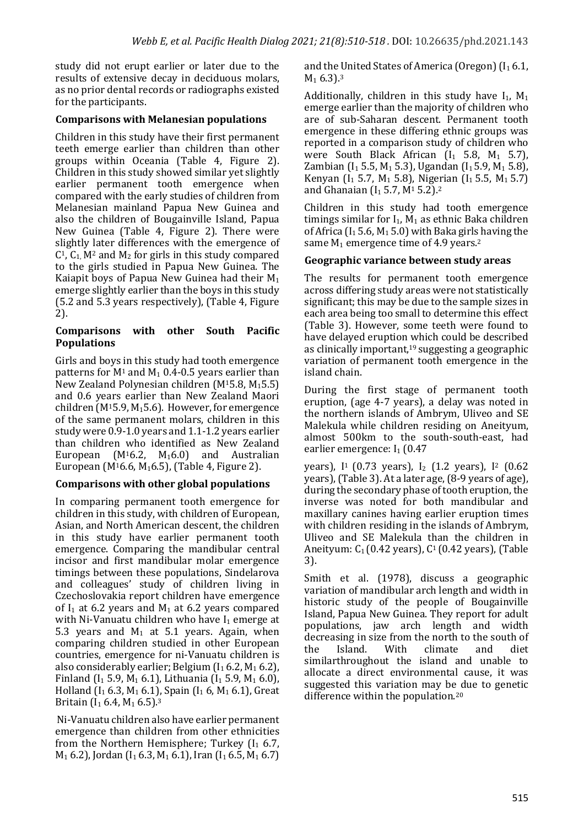study did not erupt earlier or later due to the results of extensive decay in deciduous molars, as no prior dental records or radiographs existed for the participants.

#### **Comparisons with Melanesian populations**

Children in this study have their first permanent teeth emerge earlier than children than other groups within Oceania (Table 4, Figure 2). Children in this study showed similar yet slightly earlier permanent tooth emergence when compared with the early studies of children from Melanesian mainland Papua New Guinea and also the children of Bougainville Island, Papua New Guinea (Table 4, Figure 2). There were slightly later differences with the emergence of  $C<sup>1</sup>$ ,  $C<sub>1</sub>$  M<sup>2</sup> and M<sub>2</sub> for girls in this study compared to the girls studied in Papua New Guinea. The Kaiapit boys of Papua New Guinea had their  $M_1$ emerge slightly earlier than the boys in this study (5.2 and 5.3 years respectively), (Table 4, Figure 2). 

#### **Comparisons with other South Pacific Populations**

Girls and boys in this study had tooth emergence patterns for  $M_1$  and  $M_1$  0.4-0.5 years earlier than New Zealand Polynesian children  $(M<sup>15.8</sup>, M<sub>15.5</sub>)$ and 0.6 years earlier than New Zealand Maori children ( $M<sup>15.9</sup>$ ,  $M<sub>1</sub>5.6$ ). However, for emergence of the same permanent molars, children in this study were 0.9-1.0 years and 1.1-1.2 years earlier than children who identified as New Zealand European (M<sup>1</sup>6.2, M<sub>1</sub>6.0) and Australian European (M<sup>1</sup>6.6, M<sub>1</sub>6.5), (Table 4, Figure 2).

### **Comparisons with other global populations**

In comparing permanent tooth emergence for children in this study, with children of European, Asian, and North American descent, the children in this study have earlier permanent tooth emergence. Comparing the mandibular central incisor and first mandibular molar emergence timings between these populations, Sindelarova and colleagues' study of children living in Czechoslovakia report children have emergence of  $I_1$  at 6.2 vears and  $M_1$  at 6.2 vears compared with Ni-Vanuatu children who have  $I_1$  emerge at 5.3 years and  $M_1$  at 5.1 years. Again, when comparing children studied in other European countries, emergence for ni-Vanuatu children is also considerably earlier; Belgium  $(I_1 6.2, M_1 6.2)$ , Finland (I<sub>1</sub> 5.9, M<sub>1</sub> 6.1), Lithuania (I<sub>1</sub> 5.9, M<sub>1</sub> 6.0), Holland  $(I_1 6.3, M_1 6.1)$ , Spain  $(I_1 6, M_1 6.1)$ , Great Britain  $(I_1 6.4, M_1 6.5).$ <sup>3</sup>

Ni-Vanuatu children also have earlier permanent emergence than children from other ethnicities from the Northern Hemisphere; Turkey  $(I_1 6.7,$  $M_1$  6.2), Jordan (I<sub>1</sub> 6.3, M<sub>1</sub> 6.1), Iran (I<sub>1</sub> 6.5, M<sub>1</sub> 6.7)

and the United States of America (Oregon)  $(I_1 6.1, I_2)$  $M_1$  6.3).<sup>3</sup>

Additionally, children in this study have  $I_1$ ,  $M_1$ emerge earlier than the majority of children who are of sub-Saharan descent. Permanent tooth emergence in these differing ethnic groups was reported in a comparison study of children who were South Black African  $(I_1$  5.8,  $M_1$  5.7), Zambian (I<sub>1</sub> 5.5, M<sub>1</sub> 5.3), Ugandan (I<sub>1</sub> 5.9, M<sub>1</sub> 5.8), Kenyan  $(I_1 5.7, M_1 5.8)$ , Nigerian  $(I_1 5.5, M_1 5.7)$ and Ghanaian ( $I_1$  5.7, M<sup>1</sup> 5.2).<sup>2</sup>

Children in this study had tooth emergence timings similar for  $I_1$ ,  $M_1$  as ethnic Baka children of Africa  $(I_1 5.6, M_1 5.0)$  with Baka girls having the same  $M_1$  emergence time of 4.9 years.<sup>2</sup>

### **Geographic variance between study areas**

The results for permanent tooth emergence across differing study areas were not statistically significant; this may be due to the sample sizes in each area being too small to determine this effect (Table 3). However, some teeth were found to have delayed eruption which could be described as clinically important,<sup>19</sup> suggesting a geographic variation of permanent tooth emergence in the island chain.

During the first stage of permanent tooth eruption, (age 4-7 years), a delay was noted in the northern islands of Ambrym, Uliveo and SE Malekula while children residing on Aneityum, almost 500km to the south-south-east, had earlier emergence:  $I_1$  (0.47)

years),  $I<sup>1</sup>$  (0.73 years),  $I<sub>2</sub>$  (1.2 years),  $I<sup>2</sup>$  (0.62 years), (Table 3). At a later age,  $(8-9 \text{ years of age})$ , during the secondary phase of tooth eruption, the inverse was noted for both mandibular and maxillary canines having earlier eruption times with children residing in the islands of Ambrym. Uliveo and SE Malekula than the children in Aneityum:  $C_1(0.42 \text{ years})$ ,  $C_1(0.42 \text{ years})$ , (Table 3). 

Smith et al. (1978), discuss a geographic variation of mandibular arch length and width in historic study of the people of Bougainville Island, Papua New Guinea. They report for adult populations, jaw arch length and width decreasing in size from the north to the south of the Island. With climate and diet similarthroughout the island and unable to allocate a direct environmental cause, it was suggested this variation may be due to genetic difference within the population.<sup>20</sup>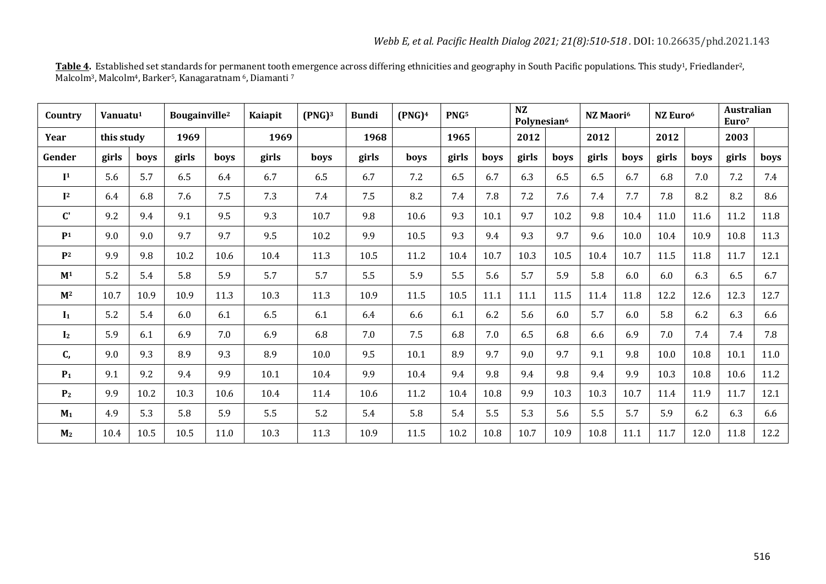| <mark>Table 4</mark> . Established set standards for permanent tooth emergence across differing ethnicities and geography in South Pacific populations. This study <sup>1</sup> , Friedlander <sup>2</sup> , |  |
|--------------------------------------------------------------------------------------------------------------------------------------------------------------------------------------------------------------|--|
| Malcolm <sup>3</sup> , Malcolm <sup>4</sup> , Barker <sup>5</sup> , Kanagaratnam <sup>6</sup> , Diamanti 7                                                                                                   |  |

| Country               | Vanuatu <sup>1</sup> |      | Bougainville <sup>2</sup> |      | Kaiapit | (PNG) <sup>3</sup> | <b>Bundi</b> | (PNG) <sup>4</sup> | PNG <sub>5</sub> |      | <b>NZ</b><br>Polynesian <sup>6</sup> |      | NZ Maori <sup>6</sup> |      | NZ Euro <sup>6</sup> |      | <b>Australian</b><br>Euro <sup>7</sup> |      |
|-----------------------|----------------------|------|---------------------------|------|---------|--------------------|--------------|--------------------|------------------|------|--------------------------------------|------|-----------------------|------|----------------------|------|----------------------------------------|------|
| Year                  | this study           |      | 1969                      |      | 1969    |                    | 1968         |                    | 1965             |      | 2012                                 |      | 2012                  |      | 2012                 |      | 2003                                   |      |
| Gender                | girls                | boys | girls                     | boys | girls   | boys               | girls        | boys               | girls            | boys | girls                                | boys | girls                 | boys | girls                | boys | girls                                  | boys |
| $\mathbf{I}^1$        | 5.6                  | 5.7  | 6.5                       | 6.4  | 6.7     | 6.5                | 6.7          | 7.2                | 6.5              | 6.7  | 6.3                                  | 6.5  | 6.5                   | 6.7  | 6.8                  | 7.0  | 7.2                                    | 7.4  |
| $\mathbf{I}^2$        | 6.4                  | 6.8  | 7.6                       | 7.5  | 7.3     | 7.4                | 7.5          | 8.2                | 7.4              | 7.8  | 7.2                                  | 7.6  | 7.4                   | 7.7  | 7.8                  | 8.2  | 8.2                                    | 8.6  |
| $\mathbf{C}^{\prime}$ | 9.2                  | 9.4  | 9.1                       | 9.5  | 9.3     | 10.7               | 9.8          | 10.6               | 9.3              | 10.1 | 9.7                                  | 10.2 | 9.8                   | 10.4 | $11.0\,$             | 11.6 | 11.2                                   | 11.8 |
| P <sub>1</sub>        | 9.0                  | 9.0  | 9.7                       | 9.7  | 9.5     | 10.2               | 9.9          | 10.5               | 9.3              | 9.4  | 9.3                                  | 9.7  | 9.6                   | 10.0 | 10.4                 | 10.9 | 10.8                                   | 11.3 |
| P <sub>2</sub>        | 9.9                  | 9.8  | 10.2                      | 10.6 | 10.4    | 11.3               | 10.5         | 11.2               | 10.4             | 10.7 | 10.3                                 | 10.5 | 10.4                  | 10.7 | 11.5                 | 11.8 | 11.7                                   | 12.1 |
| $\mathbf{M}^1$        | 5.2                  | 5.4  | 5.8                       | 5.9  | 5.7     | 5.7                | 5.5          | 5.9                | 5.5              | 5.6  | 5.7                                  | 5.9  | 5.8                   | 6.0  | 6.0                  | 6.3  | 6.5                                    | 6.7  |
| M <sup>2</sup>        | 10.7                 | 10.9 | 10.9                      | 11.3 | 10.3    | 11.3               | 10.9         | 11.5               | 10.5             | 11.1 | 11.1                                 | 11.5 | 11.4                  | 11.8 | 12.2                 | 12.6 | 12.3                                   | 12.7 |
| $I_1$                 | 5.2                  | 5.4  | 6.0                       | 6.1  | 6.5     | 6.1                | 6.4          | 6.6                | 6.1              | 6.2  | 5.6                                  | 6.0  | 5.7                   | 6.0  | 5.8                  | 6.2  | 6.3                                    | 6.6  |
| I <sub>2</sub>        | 5.9                  | 6.1  | 6.9                       | 7.0  | 6.9     | 6.8                | 7.0          | 7.5                | 6.8              | 7.0  | 6.5                                  | 6.8  | 6.6                   | 6.9  | 7.0                  | 7.4  | 7.4                                    | 7.8  |
| C,                    | 9.0                  | 9.3  | 8.9                       | 9.3  | 8.9     | 10.0               | 9.5          | 10.1               | 8.9              | 9.7  | 9.0                                  | 9.7  | 9.1                   | 9.8  | 10.0                 | 10.8 | $10.1\,$                               | 11.0 |
| $P_1$                 | 9.1                  | 9.2  | 9.4                       | 9.9  | 10.1    | 10.4               | 9.9          | 10.4               | 9.4              | 9.8  | 9.4                                  | 9.8  | 9.4                   | 9.9  | 10.3                 | 10.8 | 10.6                                   | 11.2 |
| P <sub>2</sub>        | 9.9                  | 10.2 | 10.3                      | 10.6 | 10.4    | 11.4               | 10.6         | 11.2               | 10.4             | 10.8 | 9.9                                  | 10.3 | 10.3                  | 10.7 | 11.4                 | 11.9 | 11.7                                   | 12.1 |
| M <sub>1</sub>        | 4.9                  | 5.3  | 5.8                       | 5.9  | 5.5     | 5.2                | 5.4          | 5.8                | 5.4              | 5.5  | 5.3                                  | 5.6  | 5.5                   | 5.7  | 5.9                  | 6.2  | 6.3                                    | 6.6  |
| M <sub>2</sub>        | 10.4                 | 10.5 | 10.5                      | 11.0 | 10.3    | 11.3               | 10.9         | 11.5               | 10.2             | 10.8 | 10.7                                 | 10.9 | 10.8                  | 11.1 | 11.7                 | 12.0 | 11.8                                   | 12.2 |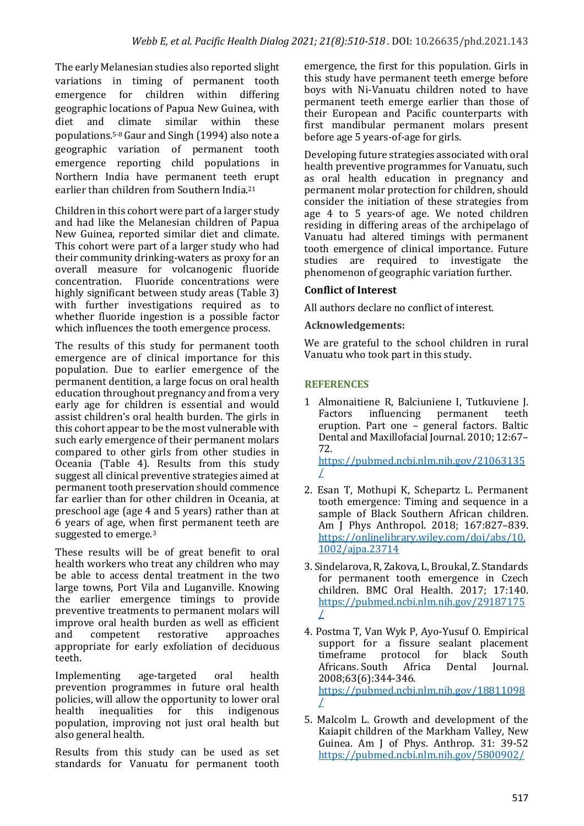The early Melanesian studies also reported slight variations in timing of permanent tooth emergence for children within differing geographic locations of Papua New Guinea, with diet and climate similar within these populations.<sup>5-8</sup> Gaur and Singh  $(1994)$  also note a geographic variation of permanent tooth emergence reporting child populations in Northern India have permanent teeth erupt earlier than children from Southern India.<sup>21</sup>

Children in this cohort were part of a larger study and had like the Melanesian children of Papua New Guinea, reported similar diet and climate. This cohort were part of a larger study who had their community drinking-waters as proxy for an overall measure for volcanogenic fluoride concentration. Fluoride concentrations were highly significant between study areas (Table 3) with further investigations required as to whether fluoride ingestion is a possible factor which influences the tooth emergence process.

The results of this study for permanent tooth emergence are of clinical importance for this population. Due to earlier emergence of the permanent dentition, a large focus on oral health education throughout pregnancy and from a very early age for children is essential and would assist children's oral health burden. The girls in this cohort appear to be the most vulnerable with such early emergence of their permanent molars compared to other girls from other studies in Oceania (Table 4). Results from this study suggest all clinical preventive strategies aimed at permanent tooth preservation should commence far earlier than for other children in Oceania, at preschool age (age 4 and 5 years) rather than at 6 years of age, when first permanent teeth are suggested to emerge.<sup>3</sup>

These results will be of great benefit to oral health workers who treat any children who may be able to access dental treatment in the two large towns, Port Vila and Luganville. Knowing the earlier emergence timings to provide preventive treatments to permanent molars will improve oral health burden as well as efficient and competent restorative approaches appropriate for early exfoliation of deciduous teeth.

Implementing age-targeted oral health prevention programmes in future oral health policies, will allow the opportunity to lower oral health inequalities for this indigenous population, improving not just oral health but also general health.

Results from this study can be used as set standards for Vanuatu for permanent tooth emergence, the first for this population. Girls in this study have permanent teeth emerge before boys with Ni-Vanuatu children noted to have permanent teeth emerge earlier than those of their European and Pacific counterparts with first mandibular permanent molars present before age 5 years-of-age for girls.

Developing future strategies associated with oral health preventive programmes for Vanuatu, such as oral health education in pregnancy and permanent molar protection for children, should consider the initiation of these strategies from age 4 to 5 years-of age. We noted children residing in differing areas of the archipelago of Vanuatu had altered timings with permanent tooth emergence of clinical importance. Future studies are required to investigate the phenomenon of geographic variation further.

### **Conflict of Interest**

All authors declare no conflict of interest.

#### **Acknowledgements:**

We are grateful to the school children in rural Vanuatu who took part in this study.

### **REFERENCES**

- 1 Almonaitiene R, Balciuniene I, Tutkuviene J. Factors influencing permanent teeth eruption. Part one - general factors. Baltic Dental and Maxillofacial Journal. 2010; 12:67-72. https://pubmed.ncbi.nlm.nih.gov/21063135 /
- 2. Esan T, Mothupi K, Schepartz L. Permanent tooth emergence: Timing and sequence in a sample of Black Southern African children. Am I Phys Anthropol. 2018: 167:827-839. https://onlinelibrary.wiley.com/doi/abs/10. 1002/ajpa.23714
- 3. Sindelarova, R, Zakova, L, Broukal, Z. Standards for permanent tooth emergence in Czech children. BMC Oral Health. 2017: 17:140. https://pubmed.ncbi.nlm.nih.gov/29187175 /
- 4. Postma T, Van Wyk P, Ayo-Yusuf O. Empirical support for a fissure sealant placement timeframe protocol for black South Africans. South Africa Dental Journal. 2008;63(6):344-346. https://pubmed.ncbi.nlm.nih.gov/18811098 /
- 5. Malcolm L. Growth and development of the Kaiapit children of the Markham Valley, New Guinea. Am I of Phys. Anthrop. 31: 39-52 https://pubmed.ncbi.nlm.nih.gov/5800902/